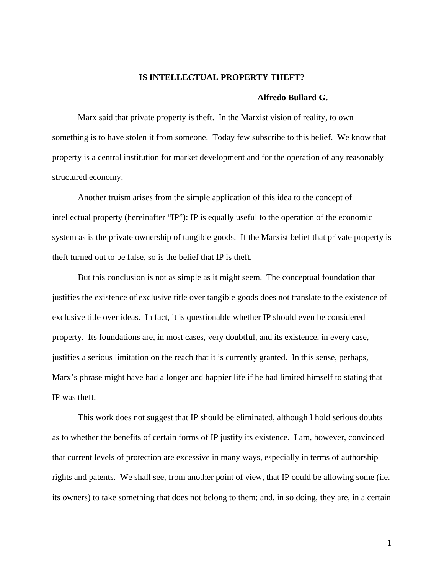### **IS INTELLECTUAL PROPERTY THEFT?**

### **Alfredo Bullard G.**

Marx said that private property is theft. In the Marxist vision of reality, to own something is to have stolen it from someone. Today few subscribe to this belief. We know that property is a central institution for market development and for the operation of any reasonably structured economy.

 Another truism arises from the simple application of this idea to the concept of intellectual property (hereinafter "IP"): IP is equally useful to the operation of the economic system as is the private ownership of tangible goods. If the Marxist belief that private property is theft turned out to be false, so is the belief that IP is theft.

 But this conclusion is not as simple as it might seem. The conceptual foundation that justifies the existence of exclusive title over tangible goods does not translate to the existence of exclusive title over ideas. In fact, it is questionable whether IP should even be considered property. Its foundations are, in most cases, very doubtful, and its existence, in every case, justifies a serious limitation on the reach that it is currently granted. In this sense, perhaps, Marx's phrase might have had a longer and happier life if he had limited himself to stating that IP was theft.

 This work does not suggest that IP should be eliminated, although I hold serious doubts as to whether the benefits of certain forms of IP justify its existence. I am, however, convinced that current levels of protection are excessive in many ways, especially in terms of authorship rights and patents. We shall see, from another point of view, that IP could be allowing some (i.e. its owners) to take something that does not belong to them; and, in so doing, they are, in a certain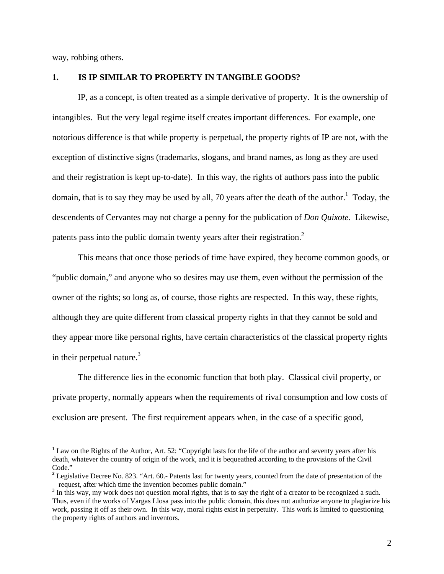way, robbing others.

### **1. IS IP SIMILAR TO PROPERTY IN TANGIBLE GOODS?**

 IP, as a concept, is often treated as a simple derivative of property. It is the ownership of intangibles. But the very legal regime itself creates important differences. For example, one notorious difference is that while property is perpetual, the property rights of IP are not, with the exception of distinctive signs (trademarks, slogans, and brand names, as long as they are used and their registration is kept up-to-date). In this way, the rights of authors pass into the public domain, that is to say they may be used by all, 70 years after the death of the author.<sup>1</sup> Today, the descendents of Cervantes may not charge a penny for the publication of *Don Quixote*. Likewise, patents pass into the public domain twenty years after their registration.<sup>2</sup>

 This means that once those periods of time have expired, they become common goods, or "public domain," and anyone who so desires may use them, even without the permission of the owner of the rights; so long as, of course, those rights are respected. In this way, these rights, although they are quite different from classical property rights in that they cannot be sold and they appear more like personal rights, have certain characteristics of the classical property rights in their perpetual nature. $3$ 

 The difference lies in the economic function that both play. Classical civil property, or private property, normally appears when the requirements of rival consumption and low costs of exclusion are present. The first requirement appears when, in the case of a specific good,

 $1$  Law on the Rights of the Author, Art. 52: "Copyright lasts for the life of the author and seventy years after his death, whatever the country of origin of the work, and it is bequeathed according to the provisions of the Civil Code."

<sup>&</sup>lt;sup>2</sup> Legislative Decree No. 823. "Art. 60.- Patents last for twenty years, counted from the date of presentation of the request, after which time the invention becomes public domain."

<sup>&</sup>lt;sup>3</sup> In this way, my work does not question moral rights, that is to say the right of a creator to be recognized a such. Thus, even if the works of Vargas Llosa pass into the public domain, this does not authorize anyone to plagiarize his work, passing it off as their own. In this way, moral rights exist in perpetuity. This work is limited to questioning the property rights of authors and inventors.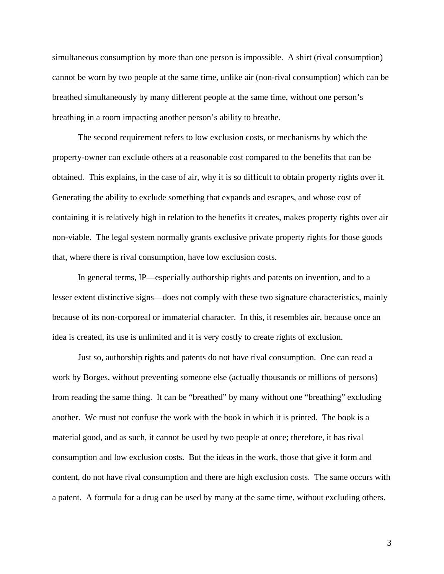simultaneous consumption by more than one person is impossible. A shirt (rival consumption) cannot be worn by two people at the same time, unlike air (non-rival consumption) which can be breathed simultaneously by many different people at the same time, without one person's breathing in a room impacting another person's ability to breathe.

 The second requirement refers to low exclusion costs, or mechanisms by which the property-owner can exclude others at a reasonable cost compared to the benefits that can be obtained. This explains, in the case of air, why it is so difficult to obtain property rights over it. Generating the ability to exclude something that expands and escapes, and whose cost of containing it is relatively high in relation to the benefits it creates, makes property rights over air non-viable. The legal system normally grants exclusive private property rights for those goods that, where there is rival consumption, have low exclusion costs.

 In general terms, IP—especially authorship rights and patents on invention, and to a lesser extent distinctive signs—does not comply with these two signature characteristics, mainly because of its non-corporeal or immaterial character. In this, it resembles air, because once an idea is created, its use is unlimited and it is very costly to create rights of exclusion.

 Just so, authorship rights and patents do not have rival consumption. One can read a work by Borges, without preventing someone else (actually thousands or millions of persons) from reading the same thing. It can be "breathed" by many without one "breathing" excluding another. We must not confuse the work with the book in which it is printed. The book is a material good, and as such, it cannot be used by two people at once; therefore, it has rival consumption and low exclusion costs. But the ideas in the work, those that give it form and content, do not have rival consumption and there are high exclusion costs. The same occurs with a patent. A formula for a drug can be used by many at the same time, without excluding others.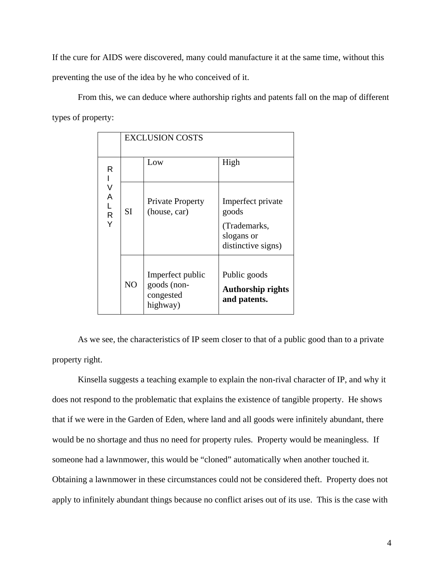If the cure for AIDS were discovered, many could manufacture it at the same time, without this preventing the use of the idea by he who conceived of it.

From this, we can deduce where authorship rights and patents fall on the map of different types of property:

|                            | <b>EXCLUSION COSTS</b> |                                                          |                                                                                |
|----------------------------|------------------------|----------------------------------------------------------|--------------------------------------------------------------------------------|
| R<br>V<br>Α<br>L<br>R<br>Y |                        | Low                                                      | High                                                                           |
|                            | <b>SI</b>              | <b>Private Property</b><br>(house, car)                  | Imperfect private<br>goods<br>(Trademarks,<br>slogans or<br>distinctive signs) |
|                            | NO                     | Imperfect public<br>goods (non-<br>congested<br>highway) | Public goods<br><b>Authorship rights</b><br>and patents.                       |

 As we see, the characteristics of IP seem closer to that of a public good than to a private property right.

 Kinsella suggests a teaching example to explain the non-rival character of IP, and why it does not respond to the problematic that explains the existence of tangible property. He shows that if we were in the Garden of Eden, where land and all goods were infinitely abundant, there would be no shortage and thus no need for property rules. Property would be meaningless. If someone had a lawnmower, this would be "cloned" automatically when another touched it. Obtaining a lawnmower in these circumstances could not be considered theft. Property does not apply to infinitely abundant things because no conflict arises out of its use. This is the case with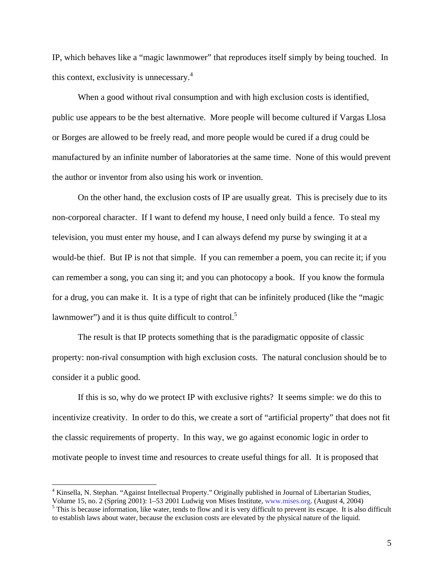IP, which behaves like a "magic lawnmower" that reproduces itself simply by being touched. In this context, exclusivity is unnecessary.<sup>4</sup>

When a good without rival consumption and with high exclusion costs is identified, public use appears to be the best alternative. More people will become cultured if Vargas Llosa or Borges are allowed to be freely read, and more people would be cured if a drug could be manufactured by an infinite number of laboratories at the same time. None of this would prevent the author or inventor from also using his work or invention.

 On the other hand, the exclusion costs of IP are usually great. This is precisely due to its non-corporeal character. If I want to defend my house, I need only build a fence. To steal my television, you must enter my house, and I can always defend my purse by swinging it at a would-be thief. But IP is not that simple. If you can remember a poem, you can recite it; if you can remember a song, you can sing it; and you can photocopy a book. If you know the formula for a drug, you can make it. It is a type of right that can be infinitely produced (like the "magic lawnmower") and it is thus quite difficult to control.<sup>5</sup>

 The result is that IP protects something that is the paradigmatic opposite of classic property: non-rival consumption with high exclusion costs. The natural conclusion should be to consider it a public good.

 If this is so, why do we protect IP with exclusive rights? It seems simple: we do this to incentivize creativity. In order to do this, we create a sort of "artificial property" that does not fit the classic requirements of property. In this way, we go against economic logic in order to motivate people to invest time and resources to create useful things for all. It is proposed that

<sup>&</sup>lt;sup>4</sup> Kinsella, N. Stephan. "Against Intellectual Property." Originally published in Journal of Libertarian Studies,

Volume 15, no. 2 (Spring 2001): 1–53 2001 Ludwig von Mises Institute, www.mises.org. (August 4, 2004) 5

<sup>&</sup>lt;sup>5</sup> This is because information, like water, tends to flow and it is very difficult to prevent its escape. It is also difficult to establish laws about water, because the exclusion costs are elevated by the physical nature of the liquid.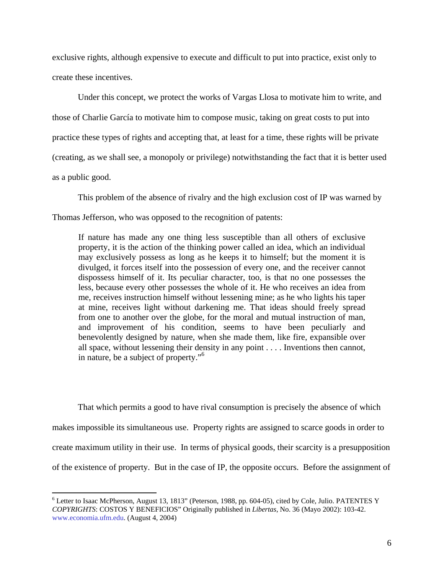exclusive rights, although expensive to execute and difficult to put into practice, exist only to create these incentives.

 Under this concept, we protect the works of Vargas Llosa to motivate him to write, and those of Charlie García to motivate him to compose music, taking on great costs to put into practice these types of rights and accepting that, at least for a time, these rights will be private (creating, as we shall see, a monopoly or privilege) notwithstanding the fact that it is better used as a public good.

 This problem of the absence of rivalry and the high exclusion cost of IP was warned by Thomas Jefferson, who was opposed to the recognition of patents:

If nature has made any one thing less susceptible than all others of exclusive property, it is the action of the thinking power called an idea, which an individual may exclusively possess as long as he keeps it to himself; but the moment it is divulged, it forces itself into the possession of every one, and the receiver cannot dispossess himself of it. Its peculiar character, too, is that no one possesses the less, because every other possesses the whole of it. He who receives an idea from me, receives instruction himself without lessening mine; as he who lights his taper at mine, receives light without darkening me. That ideas should freely spread from one to another over the globe, for the moral and mutual instruction of man, and improvement of his condition, seems to have been peculiarly and benevolently designed by nature, when she made them, like fire, expansible over all space, without lessening their density in any point . . . . Inventions then cannot, in nature, be a subject of property."6

 That which permits a good to have rival consumption is precisely the absence of which makes impossible its simultaneous use. Property rights are assigned to scarce goods in order to create maximum utility in their use. In terms of physical goods, their scarcity is a presupposition of the existence of property. But in the case of IP, the opposite occurs. Before the assignment of

<sup>&</sup>lt;sup>6</sup> Letter to Isaac McPherson, August 13, 1813" (Peterson, 1988, pp. 604-05), cited by Cole, Julio. PATENTES Y *COPYRIGHTS*: COSTOS Y BENEFICIOS" Originally published in *Libertas*, No. 36 (Mayo 2002): 103-42. www.economia.ufm.edu. (August 4, 2004)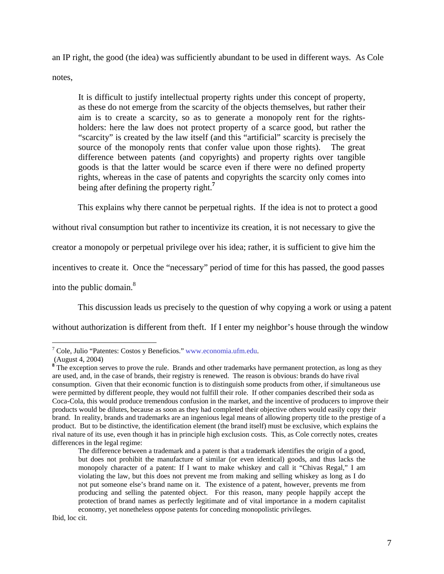an IP right, the good (the idea) was sufficiently abundant to be used in different ways. As Cole

notes,

It is difficult to justify intellectual property rights under this concept of property, as these do not emerge from the scarcity of the objects themselves, but rather their aim is to create a scarcity, so as to generate a monopoly rent for the rightsholders: here the law does not protect property of a scarce good, but rather the "scarcity" is created by the law itself (and this "artificial" scarcity is precisely the source of the monopoly rents that confer value upon those rights). The great difference between patents (and copyrights) and property rights over tangible goods is that the latter would be scarce even if there were no defined property rights, whereas in the case of patents and copyrights the scarcity only comes into being after defining the property right.**<sup>7</sup>**

This explains why there cannot be perpetual rights. If the idea is not to protect a good

without rival consumption but rather to incentivize its creation, it is not necessary to give the

creator a monopoly or perpetual privilege over his idea; rather, it is sufficient to give him the

incentives to create it. Once the "necessary" period of time for this has passed, the good passes

into the public domain. $8<sup>8</sup>$ 

This discussion leads us precisely to the question of why copying a work or using a patent

without authorization is different from theft. If I enter my neighbor's house through the window

<sup>7</sup> Cole, Julio "Patentes: Costos y Beneficios." www.economia.ufm.edu.

 <sup>(</sup>August 4, 2004)

<sup>&</sup>lt;sup>8</sup> The exception serves to prove the rule. Brands and other trademarks have permanent protection, as long as they are used, and, in the case of brands, their registry is renewed. The reason is obvious: brands do have rival consumption. Given that their economic function is to distinguish some products from other, if simultaneous use were permitted by different people, they would not fulfill their role. If other companies described their soda as Coca-Cola, this would produce tremendous confusion in the market, and the incentive of producers to improve their products would be dilutes, because as soon as they had completed their objective others would easily copy their brand. In reality, brands and trademarks are an ingenious legal means of allowing property title to the prestige of a product. But to be distinctive, the identification element (the brand itself) must be exclusive, which explains the rival nature of its use, even though it has in principle high exclusion costs. This, as Cole correctly notes, creates differences in the legal regime:

The difference between a trademark and a patent is that a trademark identifies the origin of a good, but does not prohibit the manufacture of similar (or even identical) goods, and thus lacks the monopoly character of a patent: If I want to make whiskey and call it "Chivas Regal," I am violating the law, but this does not prevent me from making and selling whiskey as long as I do not put someone else's brand name on it. The existence of a patent, however, prevents me from producing and selling the patented object. For this reason, many people happily accept the protection of brand names as perfectly legitimate and of vital importance in a modern capitalist economy, yet nonetheless oppose patents for conceding monopolistic privileges.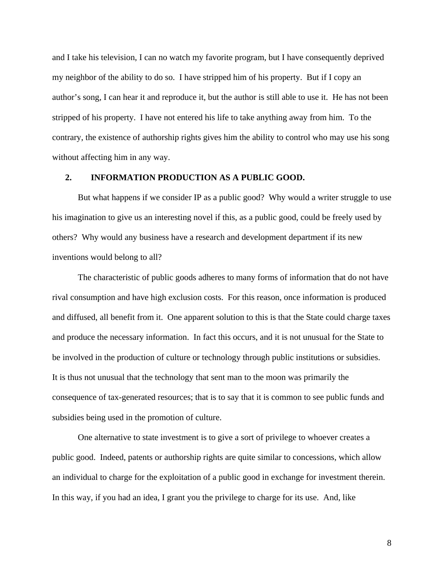and I take his television, I can no watch my favorite program, but I have consequently deprived my neighbor of the ability to do so. I have stripped him of his property. But if I copy an author's song, I can hear it and reproduce it, but the author is still able to use it. He has not been stripped of his property. I have not entered his life to take anything away from him. To the contrary, the existence of authorship rights gives him the ability to control who may use his song without affecting him in any way.

# **2. INFORMATION PRODUCTION AS A PUBLIC GOOD.**

But what happens if we consider IP as a public good? Why would a writer struggle to use his imagination to give us an interesting novel if this, as a public good, could be freely used by others? Why would any business have a research and development department if its new inventions would belong to all?

 The characteristic of public goods adheres to many forms of information that do not have rival consumption and have high exclusion costs. For this reason, once information is produced and diffused, all benefit from it. One apparent solution to this is that the State could charge taxes and produce the necessary information. In fact this occurs, and it is not unusual for the State to be involved in the production of culture or technology through public institutions or subsidies. It is thus not unusual that the technology that sent man to the moon was primarily the consequence of tax-generated resources; that is to say that it is common to see public funds and subsidies being used in the promotion of culture.

 One alternative to state investment is to give a sort of privilege to whoever creates a public good. Indeed, patents or authorship rights are quite similar to concessions, which allow an individual to charge for the exploitation of a public good in exchange for investment therein. In this way, if you had an idea, I grant you the privilege to charge for its use. And, like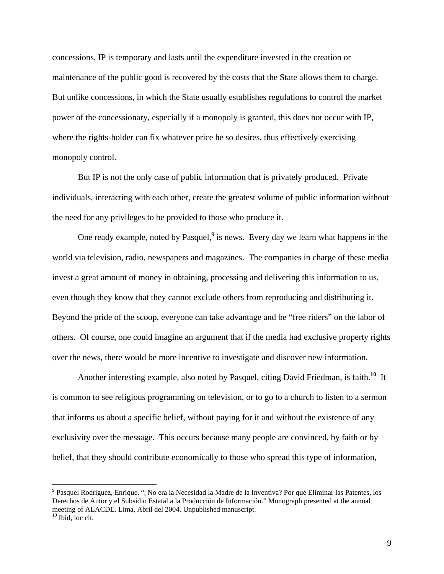concessions, IP is temporary and lasts until the expenditure invested in the creation or maintenance of the public good is recovered by the costs that the State allows them to charge. But unlike concessions, in which the State usually establishes regulations to control the market power of the concessionary, especially if a monopoly is granted, this does not occur with IP, where the rights-holder can fix whatever price he so desires, thus effectively exercising monopoly control.

 But IP is not the only case of public information that is privately produced. Private individuals, interacting with each other, create the greatest volume of public information without the need for any privileges to be provided to those who produce it.

One ready example, noted by Pasquel, $9$  is news. Every day we learn what happens in the world via television, radio, newspapers and magazines. The companies in charge of these media invest a great amount of money in obtaining, processing and delivering this information to us, even though they know that they cannot exclude others from reproducing and distributing it. Beyond the pride of the scoop, everyone can take advantage and be "free riders" on the labor of others. Of course, one could imagine an argument that if the media had exclusive property rights over the news, there would be more incentive to investigate and discover new information.

 Another interesting example, also noted by Pasquel, citing David Friedman, is faith.**<sup>10</sup>** It is common to see religious programming on television, or to go to a church to listen to a sermon that informs us about a specific belief, without paying for it and without the existence of any exclusivity over the message. This occurs because many people are convinced, by faith or by belief, that they should contribute economically to those who spread this type of information,

<sup>&</sup>lt;sup>9</sup> Pasquel Rodriguez, Enrique. "¿No era la Necesidad la Madre de la Inventiva? Por qué Eliminar las Patentes, los Derechos de Autor y el Subsidio Estatal a la Producción de Información." Monograph presented at the annual meeting of ALACDE. Lima, Abril del 2004. Unpublished manuscript.

 $10$  Ibid, loc cit.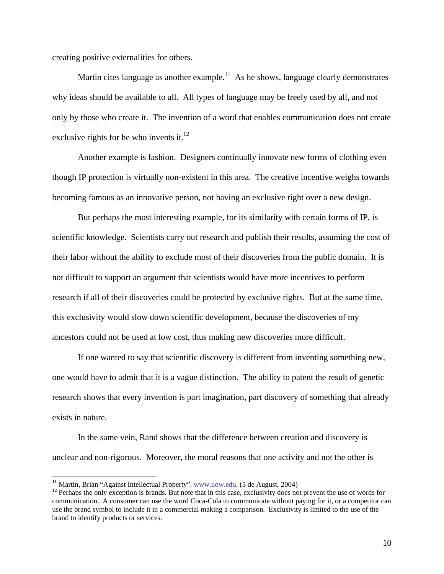creating positive externalities for others.

Martin cites language as another example.<sup>11</sup> As he shows, language clearly demonstrates why ideas should be available to all. All types of language may be freely used by all, and not only by those who create it. The invention of a word that enables communication does not create exclusive rights for he who invents it. $12$ 

 Another example is fashion. Designers continually innovate new forms of clothing even though IP protection is virtually non-existent in this area. The creative incentive weighs towards becoming famous as an innovative person, not having an exclusive right over a new design.

 But perhaps the most interesting example, for its similarity with certain forms of IP, is scientific knowledge. Scientists carry out research and publish their results, assuming the cost of their labor without the ability to exclude most of their discoveries from the public domain. It is not difficult to support an argument that scientists would have more incentives to perform research if all of their discoveries could be protected by exclusive rights. But at the same time, this exclusivity would slow down scientific development, because the discoveries of my ancestors could not be used at low cost, thus making new discoveries more difficult.

 If one wanted to say that scientific discovery is different from inventing something new, one would have to admit that it is a vague distinction. The ability to patent the result of genetic research shows that every invention is part imagination, part discovery of something that already exists in nature.

 In the same vein, Rand shows that the difference between creation and discovery is unclear and non-rigorous. Moreover, the moral reasons that one activity and not the other is

<sup>&</sup>lt;sup>11</sup> Martin, Brian "Against Intellectual Property". www.uow.edu. (5 de August, 2004)

<sup>&</sup>lt;sup>12</sup> Perhaps the only exception is brands. But note that in this case, exclusivity does not prevent the use of words for communication. A consumer can use the word Coca-Cola to communicate without paying for it, or a competitor can use the brand symbol to include it in a commercial making a comparison. Exclusivity is limited to the use of the brand to identify products or services.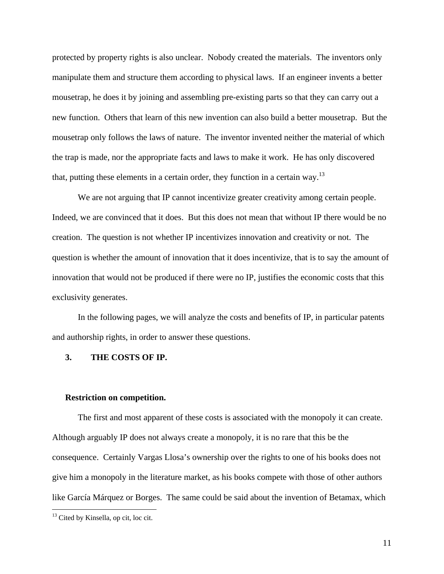protected by property rights is also unclear. Nobody created the materials. The inventors only manipulate them and structure them according to physical laws. If an engineer invents a better mousetrap, he does it by joining and assembling pre-existing parts so that they can carry out a new function. Others that learn of this new invention can also build a better mousetrap. But the mousetrap only follows the laws of nature. The inventor invented neither the material of which the trap is made, nor the appropriate facts and laws to make it work. He has only discovered that, putting these elements in a certain order, they function in a certain way.<sup>13</sup>

We are not arguing that IP cannot incentivize greater creativity among certain people. Indeed, we are convinced that it does. But this does not mean that without IP there would be no creation. The question is not whether IP incentivizes innovation and creativity or not. The question is whether the amount of innovation that it does incentivize, that is to say the amount of innovation that would not be produced if there were no IP, justifies the economic costs that this exclusivity generates.

 In the following pages, we will analyze the costs and benefits of IP, in particular patents and authorship rights, in order to answer these questions.

### **3. THE COSTS OF IP.**

#### **Restriction on competition.**

The first and most apparent of these costs is associated with the monopoly it can create. Although arguably IP does not always create a monopoly, it is no rare that this be the consequence. Certainly Vargas Llosa's ownership over the rights to one of his books does not give him a monopoly in the literature market, as his books compete with those of other authors like García Márquez or Borges. The same could be said about the invention of Betamax, which

<sup>&</sup>lt;sup>13</sup> Cited by Kinsella, op cit, loc cit.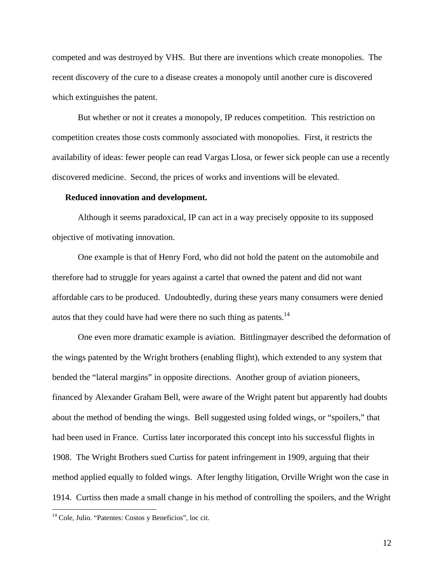competed and was destroyed by VHS. But there are inventions which create monopolies. The recent discovery of the cure to a disease creates a monopoly until another cure is discovered which extinguishes the patent.

But whether or not it creates a monopoly, IP reduces competition. This restriction on competition creates those costs commonly associated with monopolies. First, it restricts the availability of ideas: fewer people can read Vargas Llosa, or fewer sick people can use a recently discovered medicine. Second, the prices of works and inventions will be elevated.

### **Reduced innovation and development.**

Although it seems paradoxical, IP can act in a way precisely opposite to its supposed objective of motivating innovation.

 One example is that of Henry Ford, who did not hold the patent on the automobile and therefore had to struggle for years against a cartel that owned the patent and did not want affordable cars to be produced. Undoubtedly, during these years many consumers were denied autos that they could have had were there no such thing as patents.<sup>14</sup>

 One even more dramatic example is aviation. Bittlingmayer described the deformation of the wings patented by the Wright brothers (enabling flight), which extended to any system that bended the "lateral margins" in opposite directions. Another group of aviation pioneers, financed by Alexander Graham Bell, were aware of the Wright patent but apparently had doubts about the method of bending the wings. Bell suggested using folded wings, or "spoilers," that had been used in France. Curtiss later incorporated this concept into his successful flights in 1908. The Wright Brothers sued Curtiss for patent infringement in 1909, arguing that their method applied equally to folded wings. After lengthy litigation, Orville Wright won the case in 1914. Curtiss then made a small change in his method of controlling the spoilers, and the Wright

<sup>&</sup>lt;sup>14</sup> Cole, Julio. "Patentes: Costos y Beneficios", loc cit.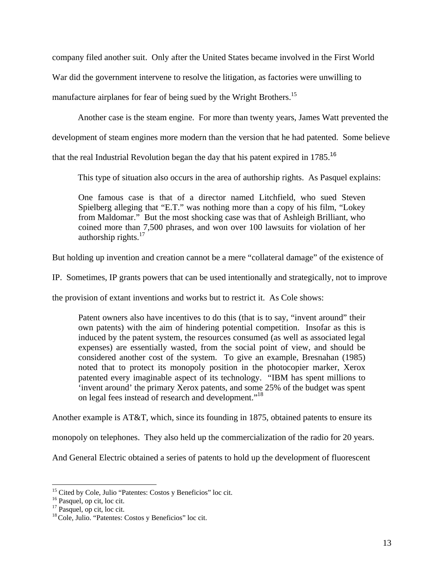company filed another suit. Only after the United States became involved in the First World

War did the government intervene to resolve the litigation, as factories were unwilling to

manufacture airplanes for fear of being sued by the Wright Brothers.<sup>15</sup>

Another case is the steam engine. For more than twenty years, James Watt prevented the

development of steam engines more modern than the version that he had patented.Some believe

that the real Industrial Revolution began the day that his patent expired in 1785.<sup>16</sup>

This type of situation also occurs in the area of authorship rights. As Pasquel explains:

One famous case is that of a director named Litchfield, who sued Steven Spielberg alleging that "E.T." was nothing more than a copy of his film, "Lokey from Maldomar." But the most shocking case was that of Ashleigh Brilliant, who coined more than 7,500 phrases, and won over 100 lawsuits for violation of her authorship rights. $17$ 

But holding up invention and creation cannot be a mere "collateral damage" of the existence of

IP. Sometimes, IP grants powers that can be used intentionally and strategically, not to improve

the provision of extant inventions and works but to restrict it. As Cole shows:

Patent owners also have incentives to do this (that is to say, "invent around" their own patents) with the aim of hindering potential competition. Insofar as this is induced by the patent system, the resources consumed (as well as associated legal expenses) are essentially wasted, from the social point of view, and should be considered another cost of the system. To give an example, Bresnahan (1985) noted that to protect its monopoly position in the photocopier marker, Xerox patented every imaginable aspect of its technology. "IBM has spent millions to 'invent around' the primary Xerox patents, and some 25% of the budget was spent on legal fees instead of research and development."<sup>18</sup>

Another example is AT&T, which, since its founding in 1875, obtained patents to ensure its

monopoly on telephones. They also held up the commercialization of the radio for 20 years.

And General Electric obtained a series of patents to hold up the development of fluorescent

<sup>&</sup>lt;sup>15</sup> Cited by Cole, Julio "Patentes: Costos y Beneficios" loc cit.

<sup>&</sup>lt;sup>16</sup> Pasquel, op cit, loc cit.

<sup>&</sup>lt;sup>17</sup> Pasquel, op cit, loc cit.

<sup>18</sup> Cole, Julio. "Patentes: Costos y Beneficios" loc cit.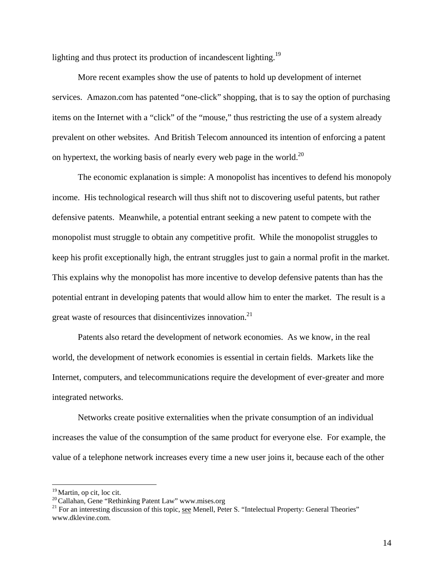lighting and thus protect its production of incandescent lighting.<sup>19</sup>

 More recent examples show the use of patents to hold up development of internet services. Amazon.com has patented "one-click" shopping, that is to say the option of purchasing items on the Internet with a "click" of the "mouse," thus restricting the use of a system already prevalent on other websites. And British Telecom announced its intention of enforcing a patent on hypertext, the working basis of nearly every web page in the world.<sup>20</sup>

 The economic explanation is simple: A monopolist has incentives to defend his monopoly income. His technological research will thus shift not to discovering useful patents, but rather defensive patents. Meanwhile, a potential entrant seeking a new patent to compete with the monopolist must struggle to obtain any competitive profit. While the monopolist struggles to keep his profit exceptionally high, the entrant struggles just to gain a normal profit in the market. This explains why the monopolist has more incentive to develop defensive patents than has the potential entrant in developing patents that would allow him to enter the market. The result is a great waste of resources that disincentivizes innovation.<sup>21</sup>

Patents also retard the development of network economies. As we know, in the real world, the development of network economies is essential in certain fields. Markets like the Internet, computers, and telecommunications require the development of ever-greater and more integrated networks.

 Networks create positive externalities when the private consumption of an individual increases the value of the consumption of the same product for everyone else. For example, the value of a telephone network increases every time a new user joins it, because each of the other

<sup>&</sup>lt;sup>19</sup> Martin, op cit, loc cit.<br><sup>20</sup> Callahan, Gene "Rethinking Patent Law" www.mises.org<br><sup>21</sup> For an interesting discussion of this topic, <u>see</u> Menell, Peter S. "Intelectual Property: General Theories" www.dklevine.com.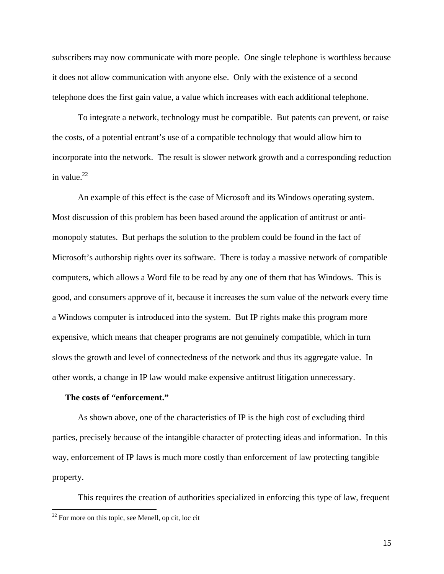subscribers may now communicate with more people. One single telephone is worthless because it does not allow communication with anyone else. Only with the existence of a second telephone does the first gain value, a value which increases with each additional telephone.

 To integrate a network, technology must be compatible. But patents can prevent, or raise the costs, of a potential entrant's use of a compatible technology that would allow him to incorporate into the network. The result is slower network growth and a corresponding reduction in value. $^{22}$ 

 An example of this effect is the case of Microsoft and its Windows operating system. Most discussion of this problem has been based around the application of antitrust or antimonopoly statutes. But perhaps the solution to the problem could be found in the fact of Microsoft's authorship rights over its software. There is today a massive network of compatible computers, which allows a Word file to be read by any one of them that has Windows. This is good, and consumers approve of it, because it increases the sum value of the network every time a Windows computer is introduced into the system. But IP rights make this program more expensive, which means that cheaper programs are not genuinely compatible, which in turn slows the growth and level of connectedness of the network and thus its aggregate value. In other words, a change in IP law would make expensive antitrust litigation unnecessary.

### **The costs of "enforcement."**

As shown above, one of the characteristics of IP is the high cost of excluding third parties, precisely because of the intangible character of protecting ideas and information. In this way, enforcement of IP laws is much more costly than enforcement of law protecting tangible property.

This requires the creation of authorities specialized in enforcing this type of law, frequent

 $22$  For more on this topic, see Menell, op cit, loc cit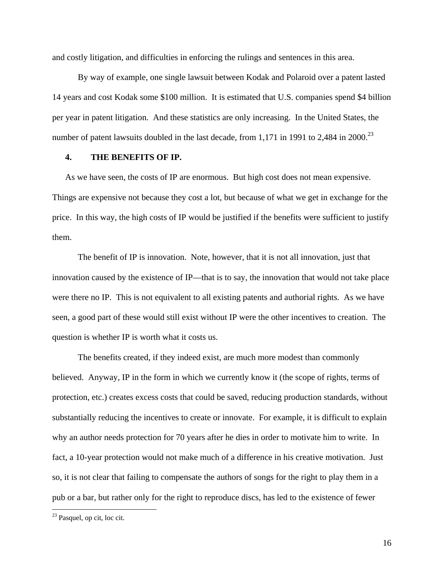and costly litigation, and difficulties in enforcing the rulings and sentences in this area.

 By way of example, one single lawsuit between Kodak and Polaroid over a patent lasted 14 years and cost Kodak some \$100 million. It is estimated that U.S. companies spend \$4 billion per year in patent litigation. And these statistics are only increasing. In the United States, the number of patent lawsuits doubled in the last decade, from 1,171 in 1991 to 2,484 in 2000.<sup>23</sup>

# **4. THE BENEFITS OF IP.**

As we have seen, the costs of IP are enormous. But high cost does not mean expensive. Things are expensive not because they cost a lot, but because of what we get in exchange for the price. In this way, the high costs of IP would be justified if the benefits were sufficient to justify them.

 The benefit of IP is innovation. Note, however, that it is not all innovation, just that innovation caused by the existence of IP—that is to say, the innovation that would not take place were there no IP. This is not equivalent to all existing patents and authorial rights. As we have seen, a good part of these would still exist without IP were the other incentives to creation. The question is whether IP is worth what it costs us.

 The benefits created, if they indeed exist, are much more modest than commonly believed. Anyway, IP in the form in which we currently know it (the scope of rights, terms of protection, etc.) creates excess costs that could be saved, reducing production standards, without substantially reducing the incentives to create or innovate. For example, it is difficult to explain why an author needs protection for 70 years after he dies in order to motivate him to write. In fact, a 10-year protection would not make much of a difference in his creative motivation. Just so, it is not clear that failing to compensate the authors of songs for the right to play them in a pub or a bar, but rather only for the right to reproduce discs, has led to the existence of fewer

<sup>&</sup>lt;sup>23</sup> Pasquel, op cit, loc cit.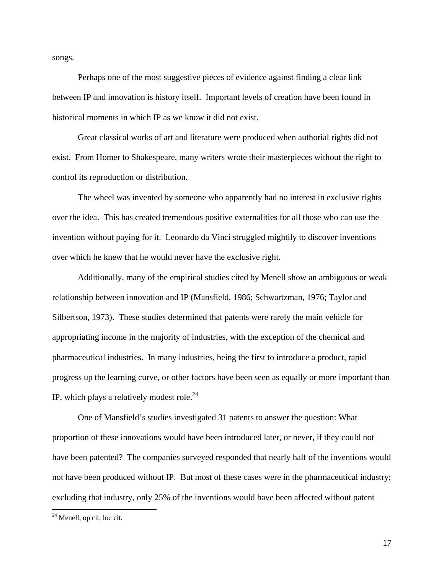songs.

 Perhaps one of the most suggestive pieces of evidence against finding a clear link between IP and innovation is history itself. Important levels of creation have been found in historical moments in which IP as we know it did not exist.

 Great classical works of art and literature were produced when authorial rights did not exist. From Homer to Shakespeare, many writers wrote their masterpieces without the right to control its reproduction or distribution.

 The wheel was invented by someone who apparently had no interest in exclusive rights over the idea. This has created tremendous positive externalities for all those who can use the invention without paying for it. Leonardo da Vinci struggled mightily to discover inventions over which he knew that he would never have the exclusive right.

 Additionally, many of the empirical studies cited by Menell show an ambiguous or weak relationship between innovation and IP (Mansfield, 1986; Schwartzman, 1976; Taylor and Silbertson, 1973). These studies determined that patents were rarely the main vehicle for appropriating income in the majority of industries, with the exception of the chemical and pharmaceutical industries. In many industries, being the first to introduce a product, rapid progress up the learning curve, or other factors have been seen as equally or more important than IP, which plays a relatively modest role.<sup>24</sup>

 One of Mansfield's studies investigated 31 patents to answer the question: What proportion of these innovations would have been introduced later, or never, if they could not have been patented? The companies surveyed responded that nearly half of the inventions would not have been produced without IP. But most of these cases were in the pharmaceutical industry; excluding that industry, only 25% of the inventions would have been affected without patent

 $24$  Menell, op cit, loc cit.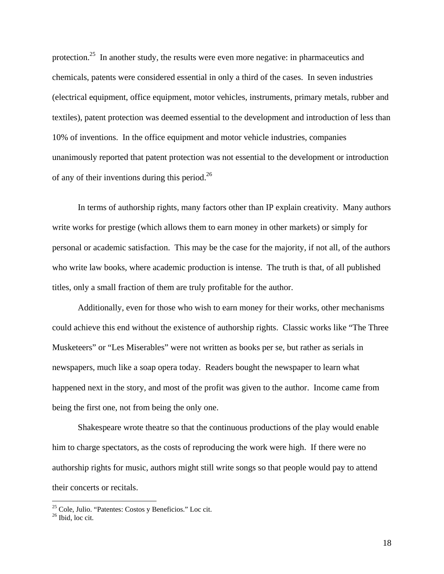protection.<sup>25</sup> In another study, the results were even more negative: in pharmaceutics and chemicals, patents were considered essential in only a third of the cases. In seven industries (electrical equipment, office equipment, motor vehicles, instruments, primary metals, rubber and textiles), patent protection was deemed essential to the development and introduction of less than 10% of inventions. In the office equipment and motor vehicle industries, companies unanimously reported that patent protection was not essential to the development or introduction of any of their inventions during this period.26

 In terms of authorship rights, many factors other than IP explain creativity. Many authors write works for prestige (which allows them to earn money in other markets) or simply for personal or academic satisfaction. This may be the case for the majority, if not all, of the authors who write law books, where academic production is intense. The truth is that, of all published titles, only a small fraction of them are truly profitable for the author.

 Additionally, even for those who wish to earn money for their works, other mechanisms could achieve this end without the existence of authorship rights. Classic works like "The Three Musketeers" or "Les Miserables" were not written as books per se, but rather as serials in newspapers, much like a soap opera today. Readers bought the newspaper to learn what happened next in the story, and most of the profit was given to the author. Income came from being the first one, not from being the only one.

 Shakespeare wrote theatre so that the continuous productions of the play would enable him to charge spectators, as the costs of reproducing the work were high. If there were no authorship rights for music, authors might still write songs so that people would pay to attend their concerts or recitals.

<sup>25</sup> Cole, Julio. "Patentes: Costos y Beneficios." Loc cit.

<sup>26</sup> Ibid, loc cit.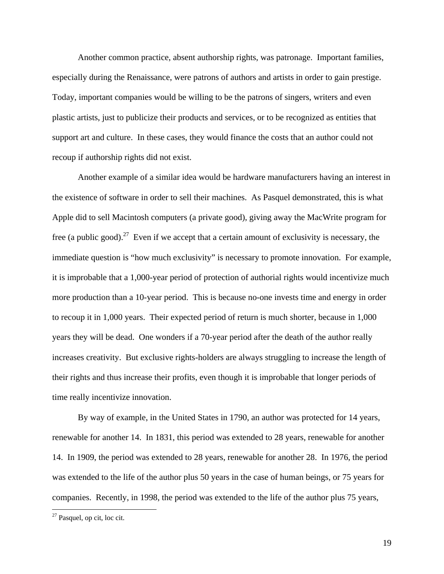Another common practice, absent authorship rights, was patronage. Important families, especially during the Renaissance, were patrons of authors and artists in order to gain prestige. Today, important companies would be willing to be the patrons of singers, writers and even plastic artists, just to publicize their products and services, or to be recognized as entities that support art and culture. In these cases, they would finance the costs that an author could not recoup if authorship rights did not exist.

 Another example of a similar idea would be hardware manufacturers having an interest in the existence of software in order to sell their machines. As Pasquel demonstrated, this is what Apple did to sell Macintosh computers (a private good), giving away the MacWrite program for free (a public good).<sup>27</sup> Even if we accept that a certain amount of exclusivity is necessary, the immediate question is "how much exclusivity" is necessary to promote innovation. For example, it is improbable that a 1,000-year period of protection of authorial rights would incentivize much more production than a 10-year period. This is because no-one invests time and energy in order to recoup it in 1,000 years. Their expected period of return is much shorter, because in 1,000 years they will be dead. One wonders if a 70-year period after the death of the author really increases creativity. But exclusive rights-holders are always struggling to increase the length of their rights and thus increase their profits, even though it is improbable that longer periods of time really incentivize innovation.

 By way of example, in the United States in 1790, an author was protected for 14 years, renewable for another 14. In 1831, this period was extended to 28 years, renewable for another 14. In 1909, the period was extended to 28 years, renewable for another 28. In 1976, the period was extended to the life of the author plus 50 years in the case of human beings, or 75 years for companies. Recently, in 1998, the period was extended to the life of the author plus 75 years,

<sup>27</sup> Pasquel, op cit, loc cit.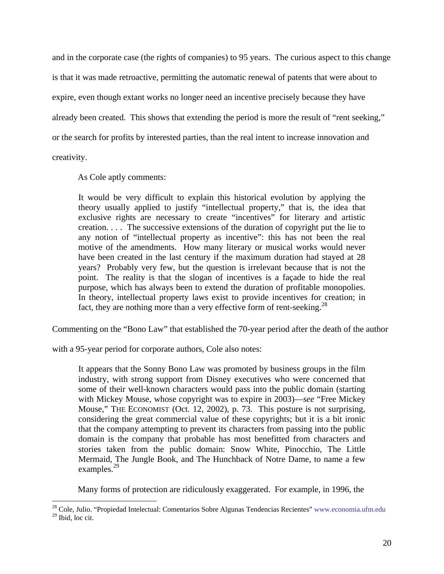and in the corporate case (the rights of companies) to 95 years. The curious aspect to this change is that it was made retroactive, permitting the automatic renewal of patents that were about to expire, even though extant works no longer need an incentive precisely because they have already been created. This shows that extending the period is more the result of "rent seeking," or the search for profits by interested parties, than the real intent to increase innovation and

creativity.

As Cole aptly comments:

It would be very difficult to explain this historical evolution by applying the theory usually applied to justify "intellectual property," that is, the idea that exclusive rights are necessary to create "incentives" for literary and artistic creation. . . . The successive extensions of the duration of copyright put the lie to any notion of "intellectual property as incentive": this has not been the real motive of the amendments. How many literary or musical works would never have been created in the last century if the maximum duration had stayed at 28 years? Probably very few, but the question is irrelevant because that is not the point. The reality is that the slogan of incentives is a façade to hide the real purpose, which has always been to extend the duration of profitable monopolies. In theory, intellectual property laws exist to provide incentives for creation; in fact, they are nothing more than a very effective form of rent-seeking.<sup>28</sup>

Commenting on the "Bono Law" that established the 70-year period after the death of the author

with a 95-year period for corporate authors, Cole also notes:

It appears that the Sonny Bono Law was promoted by business groups in the film industry, with strong support from Disney executives who were concerned that some of their well-known characters would pass into the public domain (starting with Mickey Mouse, whose copyright was to expire in 2003)—*see* "Free Mickey Mouse," THE ECONOMIST (Oct. 12, 2002), p. 73. This posture is not surprising, considering the great commercial value of these copyrights; but it is a bit ironic that the company attempting to prevent its characters from passing into the public domain is the company that probable has most benefitted from characters and stories taken from the public domain: Snow White, Pinocchio, The Little Mermaid, The Jungle Book, and The Hunchback of Notre Dame, to name a few examples.<sup>29</sup>

Many forms of protection are ridiculously exaggerated. For example, in 1996, the

<sup>&</sup>lt;sup>28</sup> Cole, Julio. "Propiedad Intelectual: Comentarios Sobre Algunas Tendencias Recientes" www.economia.ufm.edu

<sup>29</sup> Ibid, loc cit.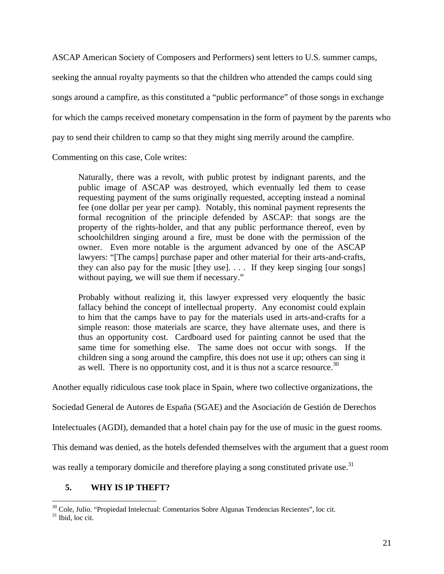ASCAP American Society of Composers and Performers) sent letters to U.S. summer camps,

seeking the annual royalty payments so that the children who attended the camps could sing

songs around a campfire, as this constituted a "public performance" of those songs in exchange

for which the camps received monetary compensation in the form of payment by the parents who

pay to send their children to camp so that they might sing merrily around the campfire.

Commenting on this case, Cole writes:

Naturally, there was a revolt, with public protest by indignant parents, and the public image of ASCAP was destroyed, which eventually led them to cease requesting payment of the sums originally requested, accepting instead a nominal fee (one dollar per year per camp). Notably, this nominal payment represents the formal recognition of the principle defended by ASCAP: that songs are the property of the rights-holder, and that any public performance thereof, even by schoolchildren singing around a fire, must be done with the permission of the owner. Even more notable is the argument advanced by one of the ASCAP lawyers: "[The camps] purchase paper and other material for their arts-and-crafts, they can also pay for the music [they use]. . . . If they keep singing [our songs] without paying, we will sue them if necessary."

Probably without realizing it, this lawyer expressed very eloquently the basic fallacy behind the concept of intellectual property. Any economist could explain to him that the camps have to pay for the materials used in arts-and-crafts for a simple reason: those materials are scarce, they have alternate uses, and there is thus an opportunity cost. Cardboard used for painting cannot be used that the same time for something else. The same does not occur with songs. If the children sing a song around the campfire, this does not use it up; others can sing it as well. There is no opportunity cost, and it is thus not a scarce resource.<sup>30</sup>

Another equally ridiculous case took place in Spain, where two collective organizations, the

Sociedad General de Autores de España (SGAE) and the Asociación de Gestión de Derechos

Intelectuales (AGDI), demanded that a hotel chain pay for the use of music in the guest rooms.

This demand was denied, as the hotels defended themselves with the argument that a guest room

was really a temporary domicile and therefore playing a song constituted private use.<sup>31</sup>

# **5. WHY IS IP THEFT?**

<sup>&</sup>lt;sup>30</sup> Cole, Julio. "Propiedad Intelectual: Comentarios Sobre Algunas Tendencias Recientes", loc cit.<br><sup>31</sup> Ibid, loc cit.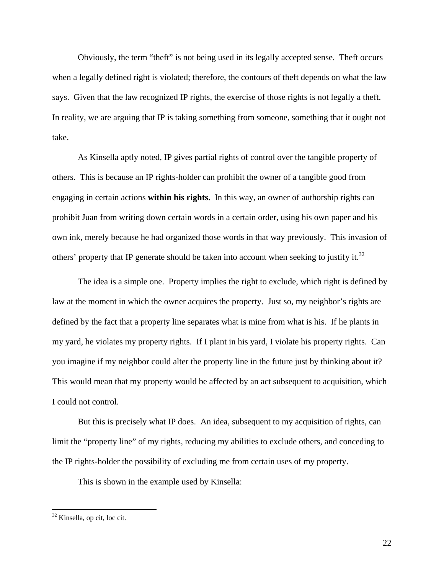Obviously, the term "theft" is not being used in its legally accepted sense. Theft occurs when a legally defined right is violated; therefore, the contours of theft depends on what the law says. Given that the law recognized IP rights, the exercise of those rights is not legally a theft. In reality, we are arguing that IP is taking something from someone, something that it ought not take.

As Kinsella aptly noted, IP gives partial rights of control over the tangible property of others. This is because an IP rights-holder can prohibit the owner of a tangible good from engaging in certain actions **within his rights.** In this way, an owner of authorship rights can prohibit Juan from writing down certain words in a certain order, using his own paper and his own ink, merely because he had organized those words in that way previously. This invasion of others' property that IP generate should be taken into account when seeking to justify it.<sup>32</sup>

The idea is a simple one. Property implies the right to exclude, which right is defined by law at the moment in which the owner acquires the property. Just so, my neighbor's rights are defined by the fact that a property line separates what is mine from what is his. If he plants in my yard, he violates my property rights. If I plant in his yard, I violate his property rights. Can you imagine if my neighbor could alter the property line in the future just by thinking about it? This would mean that my property would be affected by an act subsequent to acquisition, which I could not control.

 But this is precisely what IP does. An idea, subsequent to my acquisition of rights, can limit the "property line" of my rights, reducing my abilities to exclude others, and conceding to the IP rights-holder the possibility of excluding me from certain uses of my property.

This is shown in the example used by Kinsella:

<sup>&</sup>lt;sup>32</sup> Kinsella, op cit, loc cit.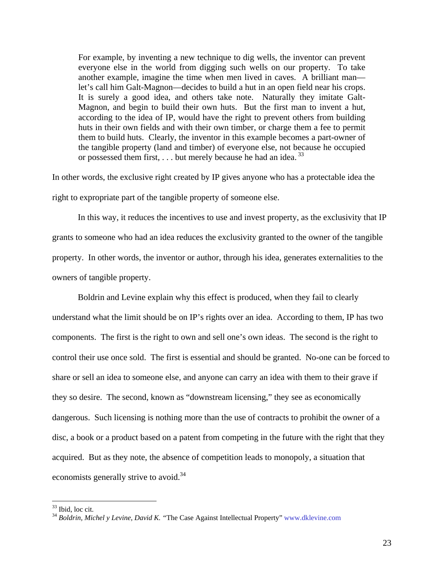For example, by inventing a new technique to dig wells, the inventor can prevent everyone else in the world from digging such wells on our property. To take another example, imagine the time when men lived in caves. A brilliant man let's call him Galt-Magnon—decides to build a hut in an open field near his crops. It is surely a good idea, and others take note. Naturally they imitate Galt-Magnon, and begin to build their own huts. But the first man to invent a hut, according to the idea of IP, would have the right to prevent others from building huts in their own fields and with their own timber, or charge them a fee to permit them to build huts. Clearly, the inventor in this example becomes a part-owner of the tangible property (land and timber) of everyone else, not because he occupied or possessed them first, . . . but merely because he had an idea. <sup>33</sup>

In other words, the exclusive right created by IP gives anyone who has a protectable idea the right to expropriate part of the tangible property of someone else.

 In this way, it reduces the incentives to use and invest property, as the exclusivity that IP grants to someone who had an idea reduces the exclusivity granted to the owner of the tangible property. In other words, the inventor or author, through his idea, generates externalities to the owners of tangible property.

 Boldrin and Levine explain why this effect is produced, when they fail to clearly understand what the limit should be on IP's rights over an idea. According to them, IP has two components. The first is the right to own and sell one's own ideas. The second is the right to control their use once sold. The first is essential and should be granted. No-one can be forced to share or sell an idea to someone else, and anyone can carry an idea with them to their grave if they so desire. The second, known as "downstream licensing," they see as economically dangerous. Such licensing is nothing more than the use of contracts to prohibit the owner of a disc, a book or a product based on a patent from competing in the future with the right that they acquired. But as they note, the absence of competition leads to monopoly, a situation that economists generally strive to avoid.<sup>34</sup>

<sup>&</sup>lt;sup>33</sup> Ibid, loc cit.

<sup>34</sup> *Boldrin, Michel y Levine, David K. "*The Case Against Intellectual Property" www.dklevine.com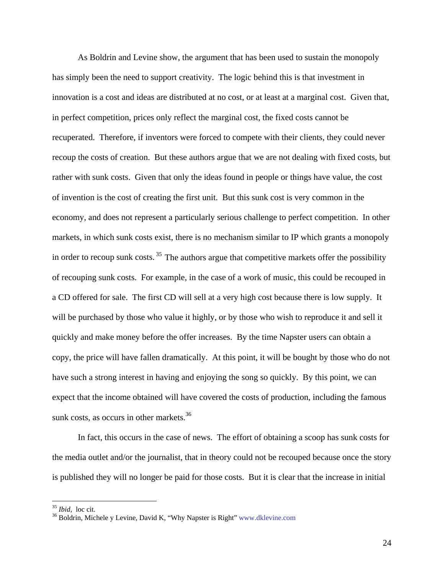As Boldrin and Levine show, the argument that has been used to sustain the monopoly has simply been the need to support creativity. The logic behind this is that investment in innovation is a cost and ideas are distributed at no cost, or at least at a marginal cost. Given that, in perfect competition, prices only reflect the marginal cost, the fixed costs cannot be recuperated. Therefore, if inventors were forced to compete with their clients, they could never recoup the costs of creation. But these authors argue that we are not dealing with fixed costs, but rather with sunk costs. Given that only the ideas found in people or things have value, the cost of invention is the cost of creating the first unit. But this sunk cost is very common in the economy, and does not represent a particularly serious challenge to perfect competition. In other markets, in which sunk costs exist, there is no mechanism similar to IP which grants a monopoly in order to recoup sunk costs.  $35$  The authors argue that competitive markets offer the possibility of recouping sunk costs. For example, in the case of a work of music, this could be recouped in a CD offered for sale. The first CD will sell at a very high cost because there is low supply. It will be purchased by those who value it highly, or by those who wish to reproduce it and sell it quickly and make money before the offer increases. By the time Napster users can obtain a copy, the price will have fallen dramatically. At this point, it will be bought by those who do not have such a strong interest in having and enjoying the song so quickly. By this point, we can expect that the income obtained will have covered the costs of production, including the famous sunk costs, as occurs in other markets.<sup>36</sup>

 In fact, this occurs in the case of news. The effort of obtaining a scoop has sunk costs for the media outlet and/or the journalist, that in theory could not be recouped because once the story is published they will no longer be paid for those costs. But it is clear that the increase in initial

<sup>&</sup>lt;sup>35</sup> *Ibid*, loc cit.<br><sup>36</sup> Boldrin, Michele y Levine, David K, "Why Napster is Right" www.dklevine.com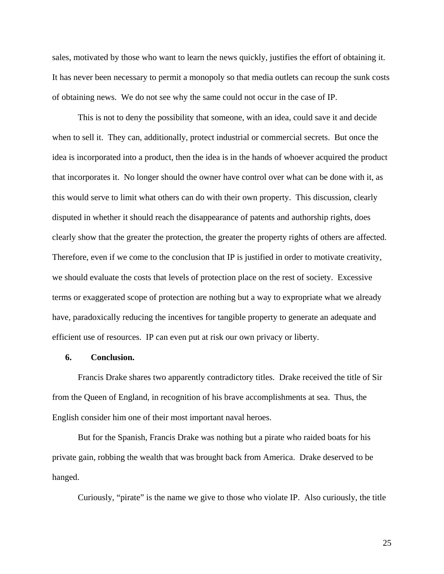sales, motivated by those who want to learn the news quickly, justifies the effort of obtaining it. It has never been necessary to permit a monopoly so that media outlets can recoup the sunk costs of obtaining news. We do not see why the same could not occur in the case of IP.

 This is not to deny the possibility that someone, with an idea, could save it and decide when to sell it. They can, additionally, protect industrial or commercial secrets. But once the idea is incorporated into a product, then the idea is in the hands of whoever acquired the product that incorporates it. No longer should the owner have control over what can be done with it, as this would serve to limit what others can do with their own property. This discussion, clearly disputed in whether it should reach the disappearance of patents and authorship rights, does clearly show that the greater the protection, the greater the property rights of others are affected. Therefore, even if we come to the conclusion that IP is justified in order to motivate creativity, we should evaluate the costs that levels of protection place on the rest of society. Excessive terms or exaggerated scope of protection are nothing but a way to expropriate what we already have, paradoxically reducing the incentives for tangible property to generate an adequate and efficient use of resources. IP can even put at risk our own privacy or liberty.

# **6. Conclusion.**

Francis Drake shares two apparently contradictory titles. Drake received the title of Sir from the Queen of England, in recognition of his brave accomplishments at sea. Thus, the English consider him one of their most important naval heroes.

But for the Spanish, Francis Drake was nothing but a pirate who raided boats for his private gain, robbing the wealth that was brought back from America. Drake deserved to be hanged.

Curiously, "pirate" is the name we give to those who violate IP. Also curiously, the title